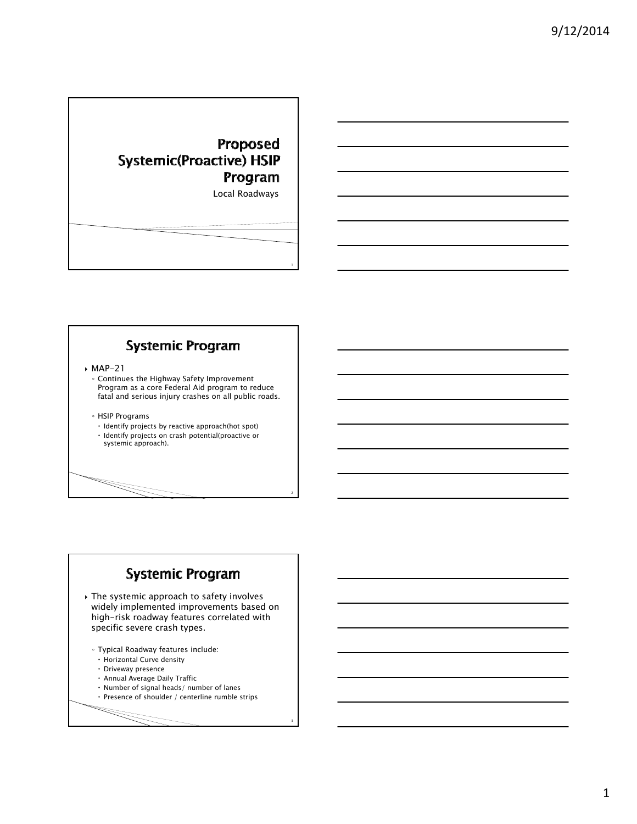## Proposed **Systemic(Proactive) HSIP** Program

Local Roadways

2

3

### **Systemic Program**

 $MAP-21$ 

- Continues the Highway Safety Improvement Program as a core Federal Aid program to reduce fatal and serious injury crashes on all public roads.
- HSIP Programs
- $\cdot$  Identify projects by reactive approach(hot spot) Identify projects on crash potential(proactive or
- systemic approach).

#### **Systemic Program**

- The systemic approach to safety involves widely implemented improvements based on high-risk roadway features correlated with specific severe crash types.
	- Typical Roadway features include:
	- Horizontal Curve density
	- Driveway presence
	- Annual Average Daily Traffic
	- $\cdot$  Number of signal heads/ number of lanes
	- $\cdot$  Presence of shoulder / centerline rumble strips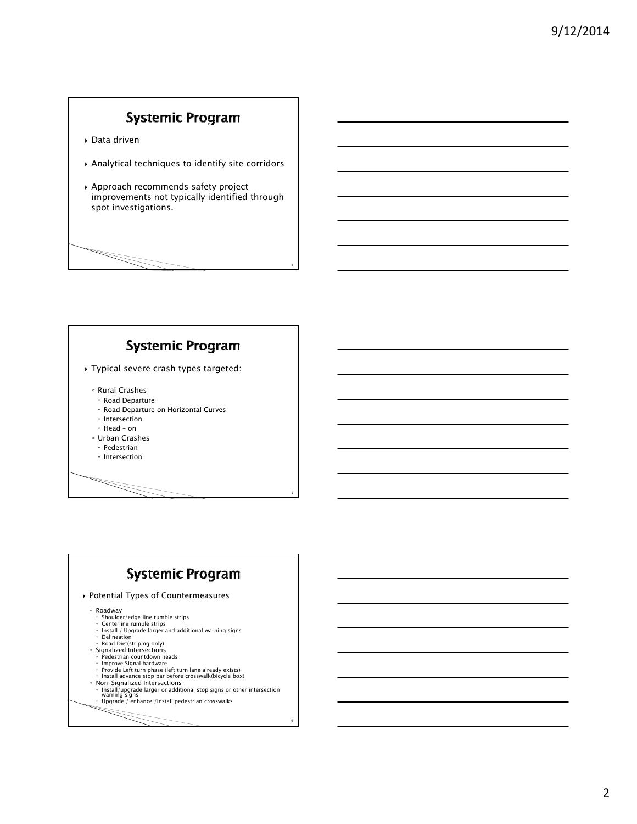#### **Systemic Program**

- Data driven
- Analytical techniques to identify site corridors
- $\rightarrow$  Approach recommends safety project improvements not typically identified through spot investigations.

4

5

6

# **Systemic Program**

- Typical severe crash types targeted:
	- Rural Crashes
	- Road Departure
	- Road Departure on Horizontal Curves
	- $\cdot$  Intersection
	- $\cdot$  Head on
	- Urban Crashes
	- $\cdot$  Pedestrian
	- $\cdot$  Intersection

### **Systemic Program**

Potential Types of Countermeasures

◦ Roadway

- Shoulder/edge line rumble strips Centerline rumble strips
- 
- 
- Install / Upgrade larger and additional warning signs Delineation Road Diet(striping only)
- Signalized Intersections Pedestrian countdown heads
- 
- 
- Improve Signal hardware<br>• Provide Left turn phase (left turn lane already exists)<br>• Install advance stop bar before crosswalk(bicycle box)
- 
- 。 Non–Signalized Intersections<br>• Install/upgrade larger or additional stop signs or other intersection<br>warning signs<br>• Upgrade / enhance /install pedestrian crosswalks
	-